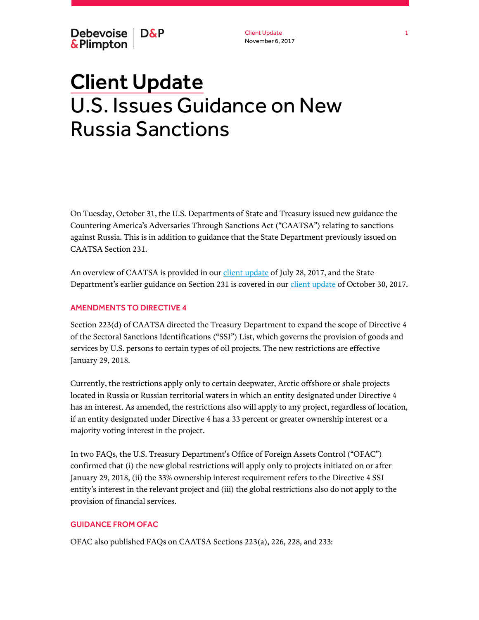Client Update November 6, 2017

# Client Update U.S. Issues Guidance on New Russia Sanctions

On Tuesday, October 31, the U.S. Departments of State and Treasury issued new guidance the Countering America's Adversaries Through Sanctions Act ("CAATSA") relating to sanctions against Russia. This is in addition to guidance that the State Department previously issued on CAATSA Section 231.

An overview of CAATSA is provided in ou[r client update](https://www.debevoise.com/insights/publications/2017/07/us-congress-passes-final-sanctions-legislation) of July 28, 2017, and the State Department's earlier guidance on Section 231 is covered in our *client update* of October 30, 2017.

## AMENDMENTS TO DIRECTIVE 4

Section 223(d) of CAATSA directed the Treasury Department to expand the scope of Directive 4 of the Sectoral Sanctions Identifications ("SSI") List, which governs the provision of goods and services by U.S. persons to certain types of oil projects. The new restrictions are effective January 29, 2018.

Currently, the restrictions apply only to certain deepwater, Arctic offshore or shale projects located in Russia or Russian territorial waters in which an entity designated under Directive 4 has an interest. As amended, the restrictions also will apply to any project, regardless of location, if an entity designated under Directive 4 has a 33 percent or greater ownership interest or a majority voting interest in the project.

In two FAQs, the U.S. Treasury Department's Office of Foreign Assets Control ("OFAC") confirmed that (i) the new global restrictions will apply only to projects initiated on or after January 29, 2018, (ii) the 33% ownership interest requirement refers to the Directive 4 SSI entity's interest in the relevant project and (iii) the global restrictions also do not apply to the provision of financial services.

### GUIDANCE FROM OFAC

OFAC also published FAQs on CAATSA Sections 223(a), 226, 228, and 233: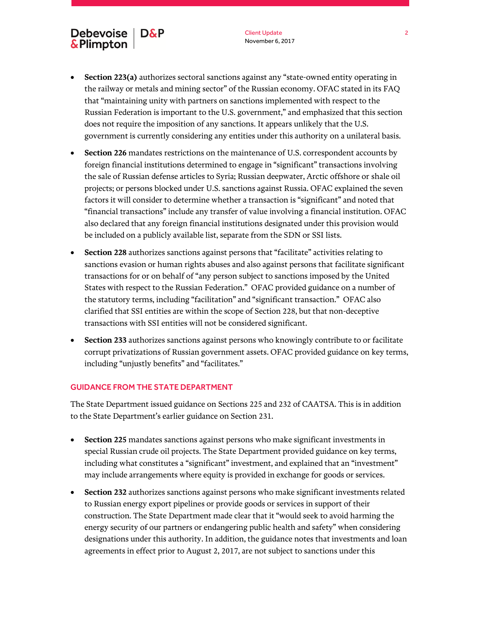# Debevoise | D&P & Plimpton

- **Section 223(a)** authorizes sectoral sanctions against any "state-owned entity operating in the railway or metals and mining sector" of the Russian economy. OFAC stated in its FAQ that "maintaining unity with partners on sanctions implemented with respect to the Russian Federation is important to the U.S. government," and emphasized that this section does not require the imposition of any sanctions. It appears unlikely that the U.S. government is currently considering any entities under this authority on a unilateral basis.
- **Section 226** mandates restrictions on the maintenance of U.S. correspondent accounts by foreign financial institutions determined to engage in "significant" transactions involving the sale of Russian defense articles to Syria; Russian deepwater, Arctic offshore or shale oil projects; or persons blocked under U.S. sanctions against Russia. OFAC explained the seven factors it will consider to determine whether a transaction is "significant" and noted that "financial transactions" include any transfer of value involving a financial institution. OFAC also declared that any foreign financial institutions designated under this provision would be included on a publicly available list, separate from the SDN or SSI lists.
- **Section 228** authorizes sanctions against persons that "facilitate" activities relating to sanctions evasion or human rights abuses and also against persons that facilitate significant transactions for or on behalf of "any person subject to sanctions imposed by the United States with respect to the Russian Federation." OFAC provided guidance on a number of the statutory terms, including "facilitation" and "significant transaction." OFAC also clarified that SSI entities are within the scope of Section 228, but that non-deceptive transactions with SSI entities will not be considered significant.
- **Section 233** authorizes sanctions against persons who knowingly contribute to or facilitate corrupt privatizations of Russian government assets. OFAC provided guidance on key terms, including "unjustly benefits" and "facilitates."

### GUIDANCE FROM THE STATE DEPARTMENT

The State Department issued guidance on Sections 225 and 232 of CAATSA. This is in addition to the State Department's earlier guidance on Section 231.

- **Section 225** mandates sanctions against persons who make significant investments in special Russian crude oil projects. The State Department provided guidance on key terms, including what constitutes a "significant" investment, and explained that an "investment" may include arrangements where equity is provided in exchange for goods or services.
- **Section 232** authorizes sanctions against persons who make significant investments related to Russian energy export pipelines or provide goods or services in support of their construction. The State Department made clear that it "would seek to avoid harming the energy security of our partners or endangering public health and safety" when considering designations under this authority. In addition, the guidance notes that investments and loan agreements in effect prior to August 2, 2017, are not subject to sanctions under this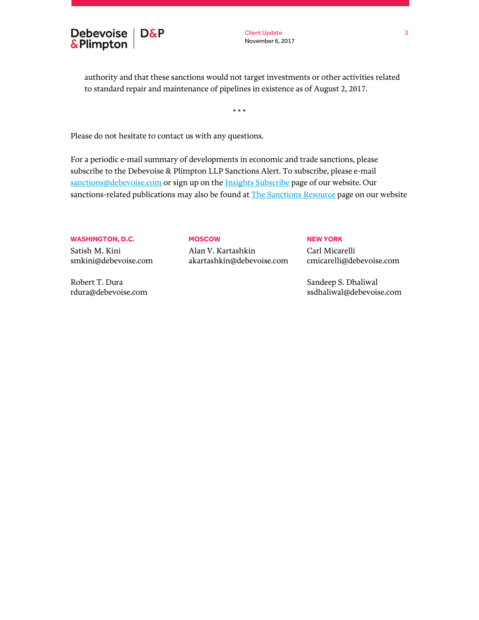

Client Update November 6, 2017

authority and that these sanctions would not target investments or other activities related to standard repair and maintenance of pipelines in existence as of August 2, 2017.

\* \* \*

Please do not hesitate to contact us with any questions.

For a periodic e-mail summary of developments in economic and trade sanctions, please subscribe to the Debevoise & Plimpton LLP Sanctions Alert. To subscribe, please e-mail [sanctions@debevoise.com](mailto:sanctions@debevoise.com?subject=Please%20subscribe%20me%20to%20the%20Sanctions%20Alert) or sign up on th[e Insights Subscribe](https://www.debevoise.com/insights/insights-subscribe-page) page of our website. Our sanctions-related publications may also be found a[t The Sanctions Resource](https://www.debevoise.com/news/the-sanctions-resource) page on our website

#### **WASHINGTON, D.C.**

Satish M. Kini smkini@debevoise.com

Robert T. Dura rdura@debevoise.com

#### **MOSCOW**

Alan V. Kartashkin akartashkin@debevoise.com

#### **NEW YORK**

Carl Micarelli cmicarelli@debevoise.com

Sandeep S. Dhaliwal ssdhaliwal@debevoise.com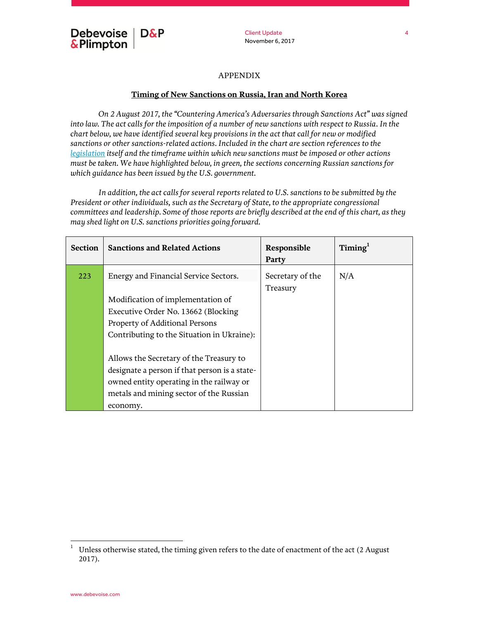

#### APPENDIX

### **Timing of New Sanctions on Russia, Iran and North Korea**

*On 2 August 2017, the "Countering America's Adversaries through Sanctions Act" was signed into law. The act calls for the imposition of a number of new sanctions with respect to Russia. In the chart below, we have identified several key provisions in the act that call for new or modified sanctions or other sanctions-related actions. Included in the chart are section references to the [legislation](https://www.congress.gov/bill/115th-congress/house-bill/3364/text) itself and the timeframe within which new sanctions must be imposed or other actions must be taken. We have highlighted below, in green, the sections concerning Russian sanctions for which guidance has been issued by the U.S. government.*

*In addition, the act calls for several reports related to U.S. sanctions to be submitted by the President or other individuals, such as the Secretary of State, to the appropriate congressional committees and leadership. Some of those reports are briefly described at the end of this chart, as they may shed light on U.S. sanctions priorities going forward.* 

| <b>Section</b> | <b>Sanctions and Related Actions</b>          | Responsible<br>Party         | Timing <sup>1</sup> |
|----------------|-----------------------------------------------|------------------------------|---------------------|
| 223            | Energy and Financial Service Sectors.         | Secretary of the<br>Treasury | N/A                 |
|                | Modification of implementation of             |                              |                     |
|                | Executive Order No. 13662 (Blocking           |                              |                     |
|                | Property of Additional Persons                |                              |                     |
|                | Contributing to the Situation in Ukraine):    |                              |                     |
|                |                                               |                              |                     |
|                | Allows the Secretary of the Treasury to       |                              |                     |
|                | designate a person if that person is a state- |                              |                     |
|                | owned entity operating in the railway or      |                              |                     |
|                | metals and mining sector of the Russian       |                              |                     |
|                | economy.                                      |                              |                     |

 $\mathbf{1}$ <sup>1</sup> Unless otherwise stated, the timing given refers to the date of enactment of the act (2 August 2017).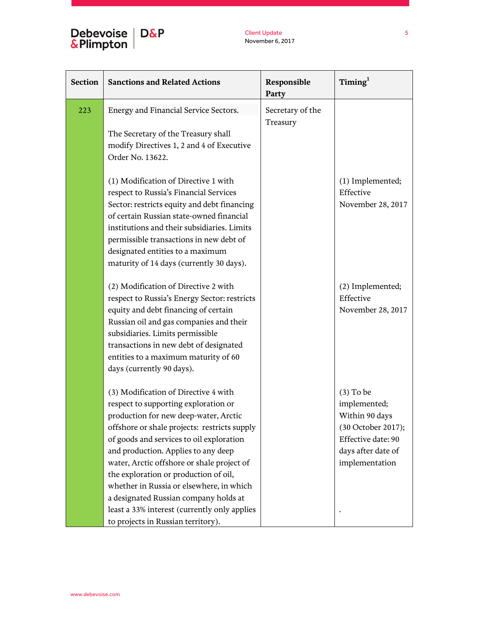# Debevoise D&P<br>&Plimpton

| <b>Section</b> | <b>Sanctions and Related Actions</b>                                                                                                                                                                                                                                                                                                                                                                                                                                                                                       | Responsible<br>Party         | Timing <sup>1</sup>                                                                                                               |
|----------------|----------------------------------------------------------------------------------------------------------------------------------------------------------------------------------------------------------------------------------------------------------------------------------------------------------------------------------------------------------------------------------------------------------------------------------------------------------------------------------------------------------------------------|------------------------------|-----------------------------------------------------------------------------------------------------------------------------------|
| 223            | Energy and Financial Service Sectors.                                                                                                                                                                                                                                                                                                                                                                                                                                                                                      | Secretary of the<br>Treasury |                                                                                                                                   |
|                | The Secretary of the Treasury shall<br>modify Directives 1, 2 and 4 of Executive<br>Order No. 13622.                                                                                                                                                                                                                                                                                                                                                                                                                       |                              |                                                                                                                                   |
|                | (1) Modification of Directive 1 with<br>respect to Russia's Financial Services<br>Sector: restricts equity and debt financing<br>of certain Russian state-owned financial<br>institutions and their subsidiaries. Limits<br>permissible transactions in new debt of<br>designated entities to a maximum<br>maturity of 14 days (currently 30 days).                                                                                                                                                                        |                              | (1) Implemented;<br>Effective<br>November 28, 2017                                                                                |
|                | (2) Modification of Directive 2 with<br>respect to Russia's Energy Sector: restricts<br>equity and debt financing of certain<br>Russian oil and gas companies and their<br>subsidiaries. Limits permissible<br>transactions in new debt of designated<br>entities to a maximum maturity of 60<br>days (currently 90 days).                                                                                                                                                                                                 |                              | (2) Implemented;<br>Effective<br>November 28, 2017                                                                                |
|                | (3) Modification of Directive 4 with<br>respect to supporting exploration or<br>production for new deep-water, Arctic<br>offshore or shale projects: restricts supply<br>of goods and services to oil exploration<br>and production. Applies to any deep<br>water, Arctic offshore or shale project of<br>the exploration or production of oil,<br>whether in Russia or elsewhere, in which<br>a designated Russian company holds at<br>least a 33% interest (currently only applies<br>to projects in Russian territory). |                              | $(3)$ To be<br>implemented;<br>Within 90 days<br>(30 October 2017);<br>Effective date: 90<br>days after date of<br>implementation |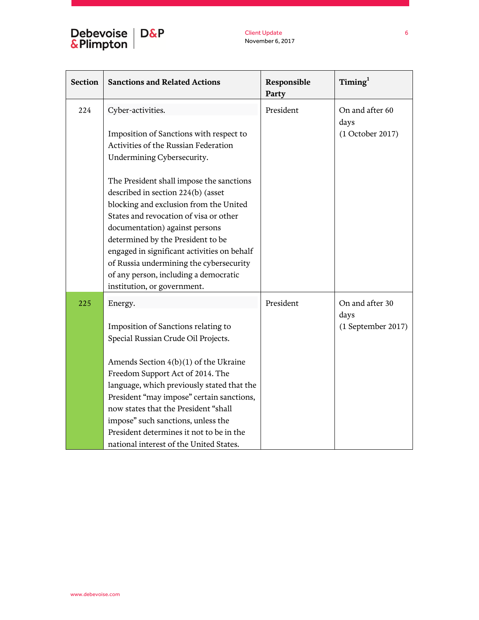# Debevoise | D&P<br>&Plimpton |

Client Update November 6, 2017

| <b>Section</b> | <b>Sanctions and Related Actions</b>        | Responsible<br>Party | $T$ iming $^{1}$        |
|----------------|---------------------------------------------|----------------------|-------------------------|
| 224            | Cyber-activities.                           | President            | On and after 60<br>days |
|                | Imposition of Sanctions with respect to     |                      | (1 October 2017)        |
|                | Activities of the Russian Federation        |                      |                         |
|                | Undermining Cybersecurity.                  |                      |                         |
|                | The President shall impose the sanctions    |                      |                         |
|                | described in section 224(b) (asset          |                      |                         |
|                | blocking and exclusion from the United      |                      |                         |
|                | States and revocation of visa or other      |                      |                         |
|                | documentation) against persons              |                      |                         |
|                | determined by the President to be           |                      |                         |
|                | engaged in significant activities on behalf |                      |                         |
|                | of Russia undermining the cybersecurity     |                      |                         |
|                | of any person, including a democratic       |                      |                         |
|                | institution, or government.                 |                      |                         |
| 225            | Energy.                                     | President            | On and after 30         |
|                |                                             |                      | days                    |
|                | Imposition of Sanctions relating to         |                      | (1 September 2017)      |
|                | Special Russian Crude Oil Projects.         |                      |                         |
|                | Amends Section 4(b)(1) of the Ukraine       |                      |                         |
|                | Freedom Support Act of 2014. The            |                      |                         |
|                | language, which previously stated that the  |                      |                         |
|                | President "may impose" certain sanctions,   |                      |                         |
|                | now states that the President "shall        |                      |                         |
|                | impose" such sanctions, unless the          |                      |                         |
|                | President determines it not to be in the    |                      |                         |
|                | national interest of the United States.     |                      |                         |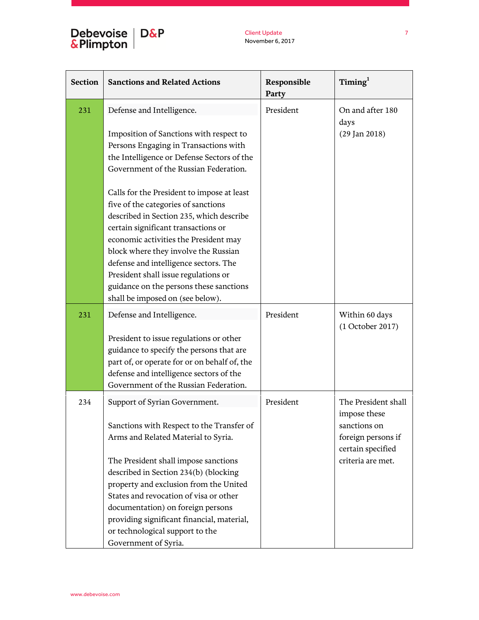# Debevoise | D&P<br>&Plimpton |

Client Update November 6, 2017

| <b>Section</b> | <b>Sanctions and Related Actions</b>                                                                                                                                                                                                                                                                                                                                                                                  | Responsible<br>Party | Timing <sup>1</sup>                                                                            |
|----------------|-----------------------------------------------------------------------------------------------------------------------------------------------------------------------------------------------------------------------------------------------------------------------------------------------------------------------------------------------------------------------------------------------------------------------|----------------------|------------------------------------------------------------------------------------------------|
| 231            | Defense and Intelligence.<br>Imposition of Sanctions with respect to<br>Persons Engaging in Transactions with<br>the Intelligence or Defense Sectors of the                                                                                                                                                                                                                                                           | President            | On and after 180<br>days<br>$(29$ Jan $2018)$                                                  |
|                | Government of the Russian Federation.                                                                                                                                                                                                                                                                                                                                                                                 |                      |                                                                                                |
|                | Calls for the President to impose at least<br>five of the categories of sanctions<br>described in Section 235, which describe<br>certain significant transactions or<br>economic activities the President may<br>block where they involve the Russian<br>defense and intelligence sectors. The<br>President shall issue regulations or<br>guidance on the persons these sanctions<br>shall be imposed on (see below). |                      |                                                                                                |
| 231            | Defense and Intelligence.                                                                                                                                                                                                                                                                                                                                                                                             | President            | Within 60 days                                                                                 |
|                | President to issue regulations or other<br>guidance to specify the persons that are<br>part of, or operate for or on behalf of, the<br>defense and intelligence sectors of the<br>Government of the Russian Federation.                                                                                                                                                                                               |                      | (1 October 2017)                                                                               |
| 234            | Support of Syrian Government.<br>Sanctions with Respect to the Transfer of<br>Arms and Related Material to Syria.                                                                                                                                                                                                                                                                                                     | President            | The President shall<br>impose these<br>sanctions on<br>foreign persons if<br>certain specified |
|                | The President shall impose sanctions<br>described in Section 234(b) (blocking<br>property and exclusion from the United<br>States and revocation of visa or other<br>documentation) on foreign persons<br>providing significant financial, material,<br>or technological support to the<br>Government of Syria.                                                                                                       |                      | criteria are met.                                                                              |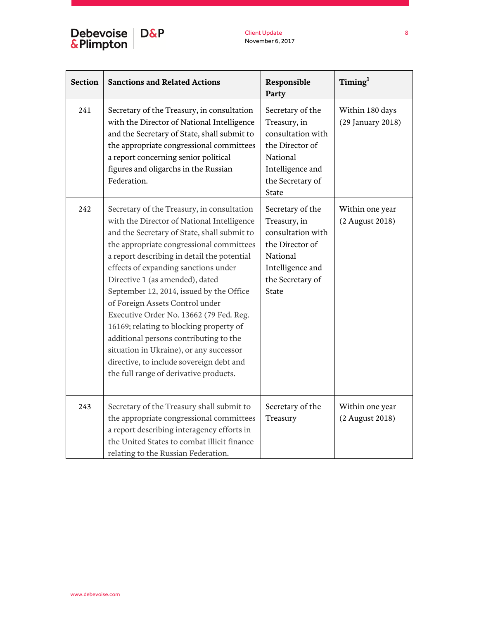| <b>Section</b> | <b>Sanctions and Related Actions</b>                                                                                                                                                                                                                                                                                                                                                                                                                                                                                                                                                                                                                          | Responsible<br>Party                                                                                                                         | $T$ iming $^{1}$                     |
|----------------|---------------------------------------------------------------------------------------------------------------------------------------------------------------------------------------------------------------------------------------------------------------------------------------------------------------------------------------------------------------------------------------------------------------------------------------------------------------------------------------------------------------------------------------------------------------------------------------------------------------------------------------------------------------|----------------------------------------------------------------------------------------------------------------------------------------------|--------------------------------------|
| 241            | Secretary of the Treasury, in consultation<br>with the Director of National Intelligence<br>and the Secretary of State, shall submit to<br>the appropriate congressional committees<br>a report concerning senior political<br>figures and oligarchs in the Russian<br>Federation.                                                                                                                                                                                                                                                                                                                                                                            | Secretary of the<br>Treasury, in<br>consultation with<br>the Director of<br>National<br>Intelligence and<br>the Secretary of<br><b>State</b> | Within 180 days<br>(29 January 2018) |
| 242            | Secretary of the Treasury, in consultation<br>with the Director of National Intelligence<br>and the Secretary of State, shall submit to<br>the appropriate congressional committees<br>a report describing in detail the potential<br>effects of expanding sanctions under<br>Directive 1 (as amended), dated<br>September 12, 2014, issued by the Office<br>of Foreign Assets Control under<br>Executive Order No. 13662 (79 Fed. Reg.<br>16169; relating to blocking property of<br>additional persons contributing to the<br>situation in Ukraine), or any successor<br>directive, to include sovereign debt and<br>the full range of derivative products. | Secretary of the<br>Treasury, in<br>consultation with<br>the Director of<br>National<br>Intelligence and<br>the Secretary of<br><b>State</b> | Within one year<br>(2 August 2018)   |
| 243            | Secretary of the Treasury shall submit to<br>the appropriate congressional committees<br>a report describing interagency efforts in<br>the United States to combat illicit finance<br>relating to the Russian Federation.                                                                                                                                                                                                                                                                                                                                                                                                                                     | Secretary of the<br>Treasury                                                                                                                 | Within one year<br>(2 August 2018)   |